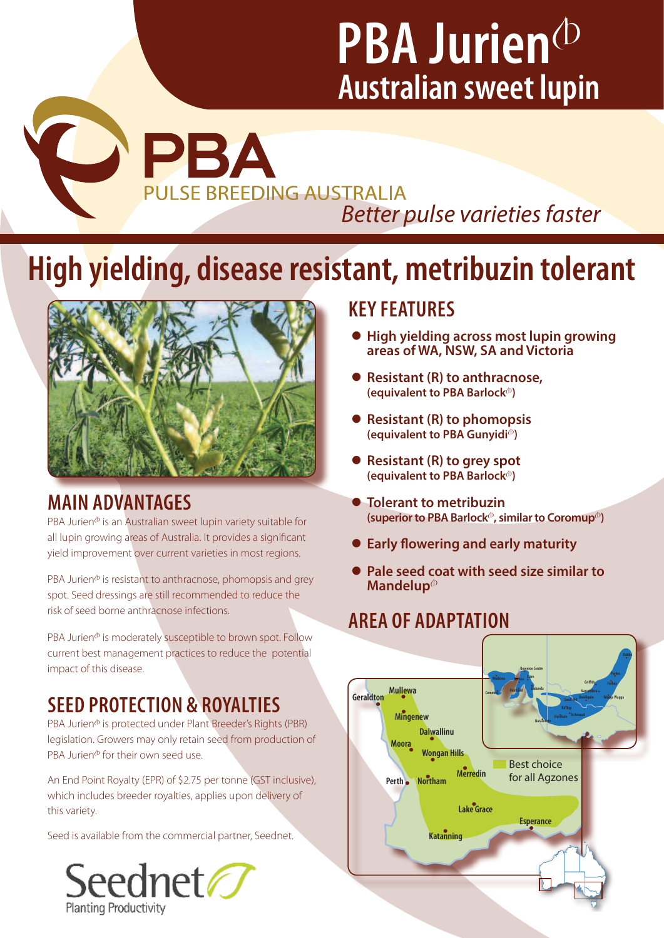PBA **PULSE BREEDING AUSTRALIA** *Better pulse varieties faster* 

# **High yielding, disease resistant, metribuzin tolerant**

**Mullewa Geraldton**

**Katanning**



## **MAIN ADVANTAGES**

P

 $PBA$  Jurien $\Phi$  is an Australian sweet lupin variety suitable for all lupin growing areas of Australia. It provides a significant yield improvement over current varieties in most regions.

PBA Jurien $\Phi$  is resistant to anthracnose, phomopsis and grey spot. Seed dressings are still recommended to reduce the risk of seed borne anthracnose infections.

PBA Jurien<sup>®</sup> is moderately susceptible to brown spot. Follow current best management practices to reduce the potential impact of this disease. **Perth Northam**

# **SEED PROTECTION & ROYALTIES**

PBA Jurien<sup>®</sup> is protected under Plant Breeder's Rights (PBR) legislation. Growers may only retain seed from production of PBA Jurien $\Phi$  for their own seed use.

An End Point Royalty (EPR) of \$2.75 per tonne (GST inclusive), which includes breeder royalties, applies upon delivery of this variety.

Seed is available from the commercial partner, Seednet.



## **KEY FEATURES**

- **High yielding across most lupin growing areas of WA, NSW, SA and Victoria**
- z **Resistant (R) to anthracnose, (equivalent to PBA Barlock**<sup>(b)</sup>
- **Resistant (R) to phomopsis (equivalent to PBA Gunyidi**<sup>(b)</sup>
- Resistant (R) to grey spot **(equivalent to PBA Barlock**<sup>(b)</sup>
- **Tolerant to metribuzin (superior to PBA Barlock**<sup> $\phi$ </sup>, similar to Coromup<sup> $\phi$ </sup>)
- **Early flowering and early maturity**
- Pale seed coat with seed size similar to **Mandelup**<sup>(b)</sup>

# **AREA OF ADAPTATION**

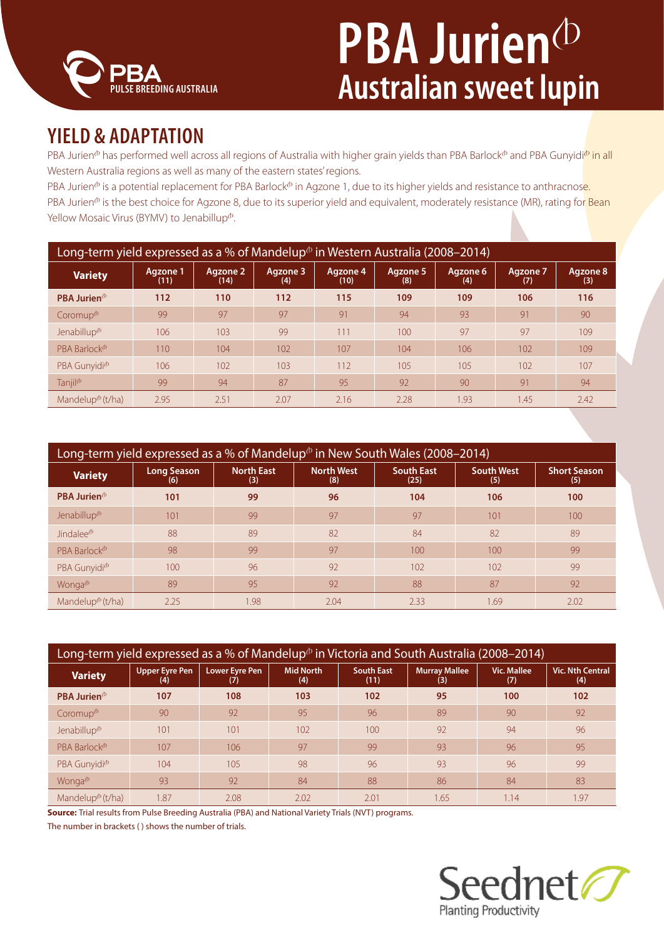

## **YIELD & ADAPTATION**

PBA Jurien<sup>®</sup> has performed well across all regions of Australia with higher grain yields than PBA Barlock® and PBA Gunyidi® in all Western Australia regions as well as many of the eastern states' regions.

PBA Jurien<sup>®</sup> is a potential replacement for PBA Barlock<sup>®</sup> in Agzone 1, due to its higher yields and resistance to anthracnose. PBA Jurien<sup>®</sup> is the best choice for Agzone 8, due to its superior yield and equivalent, moderately resistance (MR), rating for Bean Yellow Mosaic Virus (BYMV) to Jenabillup<sup>®</sup>.

| Long-term yield expressed as a % of Mandelup $\Phi$ in Western Australia (2008–2014) |                  |                  |                 |                  |                 |                 |                        |                 |
|--------------------------------------------------------------------------------------|------------------|------------------|-----------------|------------------|-----------------|-----------------|------------------------|-----------------|
| <b>Variety</b>                                                                       | Agzone 1<br>(11) | Agzone 2<br>(14) | Agzone 3<br>(4) | Agzone 4<br>(10) | Agzone 5<br>(8) | Agzone 6<br>(4) | <b>Agzone 7</b><br>(7) | Agzone 8<br>(3) |
| <b>PBA Jurien</b> $\Phi$                                                             | 112              | 110              | 112             | 115              | 109             | 109             | 106                    | 116             |
| Coromup <sup>®</sup>                                                                 | 99               | 97               | 97              | 91               | 94              | 93              | 91                     | 90              |
| Jenabillup $\Phi$                                                                    | 106              | 103              | 99              | 111              | 100             | 97              | 97                     | 109             |
| PRA Barlock <sup>(b)</sup>                                                           | 110              | 104              | 10 <sub>2</sub> | 107              | 104             | 106             | 102                    | 109             |
| PBA Gunyidi <sup>®</sup>                                                             | 106              | 102              | 103             | 112              | 105             | 105             | 102                    | 107             |
| Tanjil <sup>®</sup>                                                                  | 99               | 94               | 87              | 95               | 92              | 90              | 91                     | 94              |
| Mandelup $\Phi$ (t/ha)                                                               | 2.95             | 2.51             | 2.07            | 2.16             | 2.28            | 1.93            | 1.45                   | 2.42            |

| Long-term yield expressed as a % of Mandelup $\Phi$ in New South Wales (2008–2014) |                           |                          |                          |                           |                          |                            |  |
|------------------------------------------------------------------------------------|---------------------------|--------------------------|--------------------------|---------------------------|--------------------------|----------------------------|--|
| <b>Variety</b>                                                                     | <b>Long Season</b><br>(6) | <b>North East</b><br>(3) | <b>North West</b><br>(8) | <b>South East</b><br>(25) | <b>South West</b><br>(5) | <b>Short Season</b><br>(5) |  |
| <b>PBA Jurien</b> $\Phi$                                                           | 101                       | 99                       | 96                       | 104                       | 106                      | 100                        |  |
| Jenabillup <sup>®</sup>                                                            | 101                       | 99                       | 97                       | 97                        | 101                      | 100                        |  |
| Jindalee <sup>®</sup>                                                              | 88                        | 89                       | 82                       | 84                        | 82                       | 89                         |  |
| PBA Barlock <sup>®</sup>                                                           | 98                        | 99                       | 97                       | 100                       | 100                      | 99                         |  |
| PBA Gunyidi <sup>®</sup>                                                           | 100                       | 96                       | 92                       | 102                       | 102                      | 99                         |  |
| Wonga <sup>(b</sup>                                                                | 89                        | 95                       | 92                       | 88                        | 87                       | 92                         |  |
| Mandelup <sup><math>\Phi</math></sup> (t/ha)                                       | 2.25                      | 1.98                     | 2.04                     | 2.33                      | 1.69                     | 2.02                       |  |

| Long-term yield expressed as a % of Mandelup <sup><math>\phi</math></sup> in Victoria and South Australia (2008–2014) |                              |                              |                         |                           |                             |                           |                                |
|-----------------------------------------------------------------------------------------------------------------------|------------------------------|------------------------------|-------------------------|---------------------------|-----------------------------|---------------------------|--------------------------------|
| <b>Variety</b>                                                                                                        | <b>Upper Eyre Pen</b><br>(4) | <b>Lower Eyre Pen</b><br>(7) | <b>Mid North</b><br>(4) | <b>South East</b><br>(11) | <b>Murray Mallee</b><br>(3) | <b>Vic. Mallee</b><br>(7) | <b>Vic. Nth Central</b><br>(4) |
| PBA Jurien <sup>®</sup>                                                                                               | 107                          | 108                          | 103                     | 102                       | 95                          | 100                       | 102                            |
| Coromup <sup>®</sup>                                                                                                  | 90                           | 92                           | 95                      | 96                        | 89                          | 90                        | 92                             |
| Jenabillup <sup>®</sup>                                                                                               | 101                          | 101                          | 102                     | 100                       | 92                          | 94                        | 96                             |
| PBA Barlock <sup>®</sup>                                                                                              | 107                          | 106                          | 97                      | 99                        | 93                          | 96                        | 95                             |
| PBA Gunyidi <sup>®</sup>                                                                                              | 104                          | 105                          | 98                      | 96                        | 93                          | 96                        | 99                             |
| Wonga <sup>(b</sup>                                                                                                   | 93                           | 92                           | 84                      | 88                        | 86                          | 84                        | 83                             |
| Mandelup <sup>®</sup> (t/ha)                                                                                          | 1.87                         | 2.08                         | 2.02                    | 2.01                      | 1.65                        | 1.14                      | 1.97                           |

**Source:** Trial results from Pulse Breeding Australia (PBA) and National Variety Trials (NVT) programs.

The number in brackets ( ) shows the number of trials.

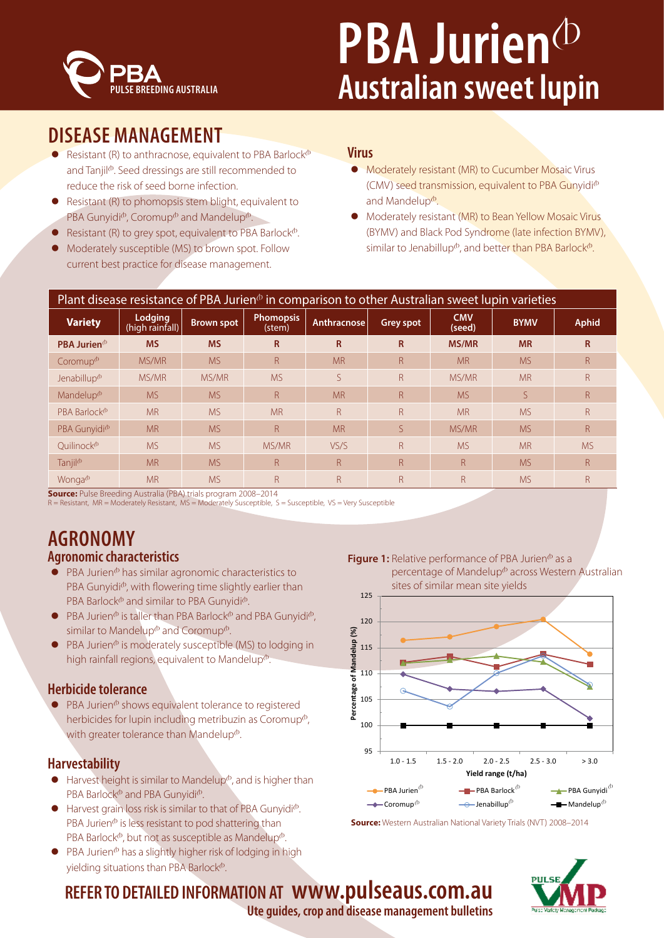

## **DISEASE MANAGEMENT**

- Resistant (R) to anthracnose, equivalent to PBA Barlock $\Phi$ and Tanjil<sup>®</sup>. Seed dressings are still recommended to reduce the risk of seed borne infection.
- Resistant (R) to phomopsis stem blight, equivalent to PBA Gunyidi $^{\circ}$ , Coromup $^{\circ}$  and Mandelup $^{\circ}$ .
- **•** Resistant (R) to grey spot, equivalent to PBA Barlock $\Phi$ .
- Moderately susceptible (MS) to brown spot. Follow current best practice for disease management.

### **Virus**

- Moderately resistant (MR) to Cucumber Mosaic Virus (CMV) seed transmission, equivalent to PBA Gunyidi $\Phi$ and Mandelup<sup>®</sup>.
- Moderately resistant (MR) to Bean Yellow Mosaic Virus (BYMV) and Black Pod Syndrome (late infection BYMV), similar to Jenabillup<sup> $\Phi$ </sup>, and better than PBA Barlock $\Phi$ .

| Plant disease resistance of PBA Jurien $\phi$ in comparison to other Australian sweet lupin varieties |                                           |                   |                            |                    |                  |                      |             |              |
|-------------------------------------------------------------------------------------------------------|-------------------------------------------|-------------------|----------------------------|--------------------|------------------|----------------------|-------------|--------------|
| <b>Variety</b>                                                                                        | Lodging<br>$\overline{h}$ (high rainfall) | <b>Brown spot</b> | <b>Phomopsis</b><br>(stem) | <b>Anthracnose</b> | <b>Grey spot</b> | <b>CMV</b><br>(seed) | <b>BYMV</b> | <b>Aphid</b> |
| <b>PBA Jurien</b> $\Phi$                                                                              | <b>MS</b>                                 | <b>MS</b>         | R                          | R                  | R                | <b>MS/MR</b>         | <b>MR</b>   | R            |
| Coromup <sup>®</sup>                                                                                  | MS/MR                                     | <b>MS</b>         | R                          | <b>MR</b>          | $\mathsf{R}$     | <b>MR</b>            | <b>MS</b>   | R            |
| Jenabillup <sup>®</sup>                                                                               | MS/MR                                     | MS/MR             | <b>MS</b>                  | S                  | $\mathsf{R}$     | MS/MR                | <b>MR</b>   | R            |
| Mandelup <sup>®</sup>                                                                                 | <b>MS</b>                                 | <b>MS</b>         | $\mathsf{R}$               | <b>MR</b>          | $\mathsf{R}$     | <b>MS</b>            | S           | R.           |
| PBA Barlock <sup>®</sup>                                                                              | <b>MR</b>                                 | <b>MS</b>         | <b>MR</b>                  | R                  | $\mathsf{R}$     | <b>MR</b>            | <b>MS</b>   | R            |
| PBA Gunyidi <sup>®</sup>                                                                              | <b>MR</b>                                 | <b>MS</b>         | $\mathsf{R}$               | <b>MR</b>          | S.               | MS/MR                | <b>MS</b>   | R            |
| Ouilinock <sup>®</sup>                                                                                | <b>MS</b>                                 | <b>MS</b>         | MS/MR                      | VS/S               | $\mathsf{R}$     | <b>MS</b>            | <b>MR</b>   | <b>MS</b>    |
| Tanjil <sup>®</sup>                                                                                   | <b>MR</b>                                 | <b>MS</b>         | $\mathsf{R}$               | R                  | $\mathsf{R}$     | $\mathsf{R}$         | <b>MS</b>   | R            |
| Wonga <sup>(b</sup>                                                                                   | <b>MR</b>                                 | <b>MS</b>         | R                          | R                  | $\mathsf{R}$     | R                    | <b>MS</b>   | R            |

**Source:** Pulse Breeding Australia (PBA) trials program 2008–2014

R = Resistant, MR = Moderately Resistant, MS = Moderately Susceptible, S = Susceptible, VS = Very Susceptible

## **AGRONOMY Agronomic characteristics**

- $\bullet$  PBA Jurien<sup> $\circ$ </sup> has similar agronomic characteristics to PBA Gunyidi<sup>®</sup>, with flowering time slightly earlier than PBA Barlock<sup>®</sup> and similar to PBA Gunyidi®.
- $\bullet$  PBA Jurien<sup> $\phi$ </sup> is taller than PBA Barlock<sup> $\phi$ </sup> and PBA Gunyidi $\phi$ , similar to Mandelup<sup> $\Phi$ </sup> and Coromup $\Phi$ .
- PBA Jurien $\Phi$  is moderately susceptible (MS) to lodging in high rainfall regions, equivalent to Mandelup $\Phi$ .

### **Herbicide tolerance**

PBA Jurien<sup>®</sup> shows equivalent tolerance to registered herbicides for lupin including metribuzin as Coromup<sup> $\Phi$ </sup>, with greater tolerance than Mandelup $\Phi$ .

### **Harvestability**

- $\bullet$  Harvest height is similar to Mandelup<sup> $\Phi$ </sup>, and is higher than PBA Barlock<sup>®</sup> and PBA Gunvidi<sup>®</sup>.
- $\bullet$  Harvest grain loss risk is similar to that of PBA Gunyidi $\Phi$ . PBA Jurien $\Phi$  is less resistant to pod shattering than PBA Barlock $\Phi$ , but not as susceptible as Mandelup $\Phi$ .
- $\bullet$  PBA Jurien<sup> $\circ$ </sup> has a slightly higher risk of lodging in high yielding situations than PBA Barlock $\Phi$ .

**Figure 1:** Relative performance of PBA Jurien<sup>®</sup> as a percentage of Mandelup<sup>®</sup> across Western Australian sites of similar mean site yields



**Source:** Western Australian National Variety Trials (NVT) 2008–2014



**REFER TO DETAILED INFORMATION AT www.pulseaus.com.au Ute guides, crop and disease management bulletins**